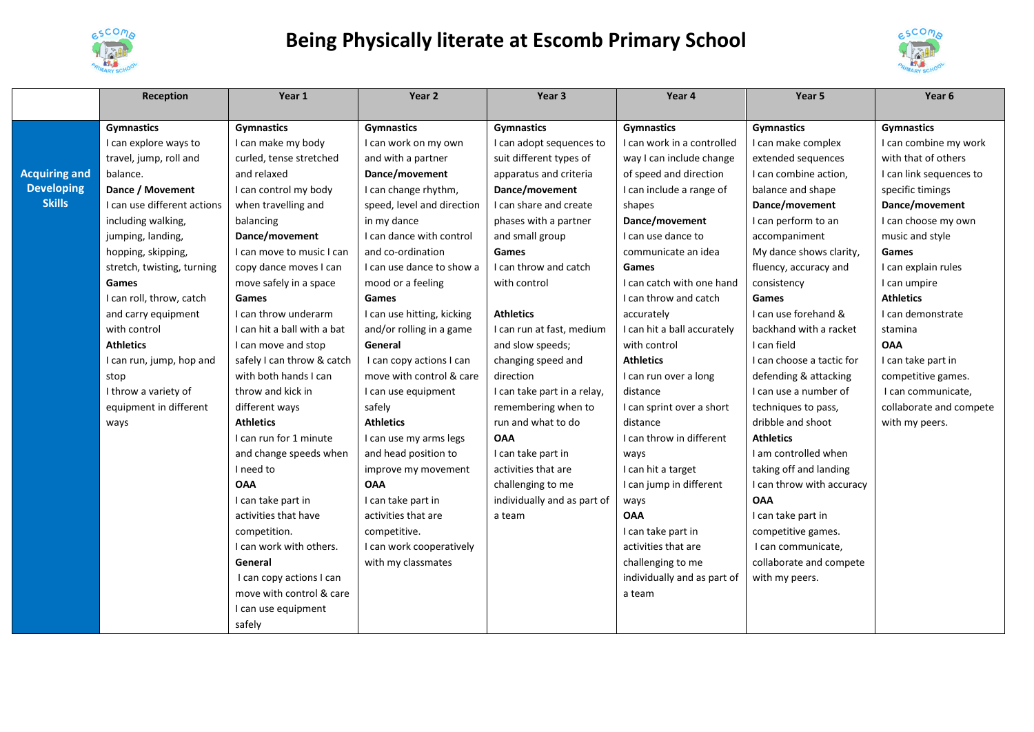

## **Being Physically literate at Escomb Primary School**



|                                    | Reception                   | Year 1                      | Year 2                     | Year 3                      | Year 4                      | Year <sub>5</sub>         | Year 6                  |
|------------------------------------|-----------------------------|-----------------------------|----------------------------|-----------------------------|-----------------------------|---------------------------|-------------------------|
|                                    |                             |                             |                            |                             |                             |                           |                         |
|                                    | <b>Gymnastics</b>           | <b>Gymnastics</b>           | <b>Gymnastics</b>          | <b>Gymnastics</b>           | <b>Gymnastics</b>           | <b>Gymnastics</b>         | <b>Gymnastics</b>       |
|                                    | I can explore ways to       | I can make my body          | I can work on my own       | I can adopt sequences to    | I can work in a controlled  | I can make complex        | I can combine my work   |
|                                    | travel, jump, roll and      | curled, tense stretched     | and with a partner         | suit different types of     | way I can include change    | extended sequences        | with that of others     |
| <b>Acquiring and</b>               | balance.                    | and relaxed                 | Dance/movement             | apparatus and criteria      | of speed and direction      | I can combine action,     | I can link sequences to |
| <b>Developing</b><br><b>Skills</b> | Dance / Movement            | I can control my body       | I can change rhythm,       | Dance/movement              | I can include a range of    | balance and shape         | specific timings        |
|                                    | I can use different actions | when travelling and         | speed, level and direction | I can share and create      | shapes                      | Dance/movement            | Dance/movement          |
|                                    | including walking,          | balancing                   | in my dance                | phases with a partner       | Dance/movement              | I can perform to an       | I can choose my own     |
|                                    | jumping, landing,           | Dance/movement              | I can dance with control   | and small group             | I can use dance to          | accompaniment             | music and style         |
|                                    | hopping, skipping,          | I can move to music I can   | and co-ordination          | Games                       | communicate an idea         | My dance shows clarity,   | Games                   |
|                                    | stretch, twisting, turning  | copy dance moves I can      | I can use dance to show a  | I can throw and catch       | <b>Games</b>                | fluency, accuracy and     | I can explain rules     |
|                                    | <b>Games</b>                | move safely in a space      | mood or a feeling          | with control                | I can catch with one hand   | consistency               | I can umpire            |
|                                    | I can roll, throw, catch    | Games                       | Games                      |                             | I can throw and catch       | Games                     | <b>Athletics</b>        |
|                                    | and carry equipment         | I can throw underarm        | I can use hitting, kicking | <b>Athletics</b>            | accurately                  | I can use forehand &      | I can demonstrate       |
|                                    | with control                | I can hit a ball with a bat | and/or rolling in a game   | I can run at fast, medium   | I can hit a ball accurately | backhand with a racket    | stamina                 |
|                                    | <b>Athletics</b>            | I can move and stop         | General                    | and slow speeds;            | with control                | I can field               | <b>OAA</b>              |
|                                    | I can run, jump, hop and    | safely I can throw & catch  | I can copy actions I can   | changing speed and          | <b>Athletics</b>            | I can choose a tactic for | I can take part in      |
|                                    | stop                        | with both hands I can       | move with control & care   | direction                   | I can run over a long       | defending & attacking     | competitive games.      |
|                                    | I throw a variety of        | throw and kick in           | I can use equipment        | I can take part in a relay, | distance                    | I can use a number of     | I can communicate,      |
|                                    | equipment in different      | different ways              | safely                     | remembering when to         | I can sprint over a short   | techniques to pass,       | collaborate and compete |
|                                    | ways                        | <b>Athletics</b>            | <b>Athletics</b>           | run and what to do          | distance                    | dribble and shoot         | with my peers.          |
|                                    |                             | I can run for 1 minute      | I can use my arms legs     | <b>OAA</b>                  | I can throw in different    | <b>Athletics</b>          |                         |
|                                    |                             | and change speeds when      | and head position to       | I can take part in          | ways                        | I am controlled when      |                         |
|                                    |                             | I need to                   | improve my movement        | activities that are         | I can hit a target          | taking off and landing    |                         |
|                                    |                             | <b>OAA</b>                  | <b>OAA</b>                 | challenging to me           | I can jump in different     | I can throw with accuracy |                         |
|                                    |                             | I can take part in          | I can take part in         | individually and as part of | ways                        | <b>OAA</b>                |                         |
|                                    |                             | activities that have        | activities that are        | a team                      | <b>OAA</b>                  | I can take part in        |                         |
|                                    |                             | competition.                | competitive.               |                             | I can take part in          | competitive games.        |                         |
|                                    |                             | I can work with others.     | I can work cooperatively   |                             | activities that are         | I can communicate,        |                         |
|                                    |                             | General                     | with my classmates         |                             | challenging to me           | collaborate and compete   |                         |
|                                    |                             | I can copy actions I can    |                            |                             | individually and as part of | with my peers.            |                         |
|                                    |                             | move with control & care    |                            |                             | a team                      |                           |                         |
|                                    |                             | I can use equipment         |                            |                             |                             |                           |                         |
|                                    |                             | safely                      |                            |                             |                             |                           |                         |